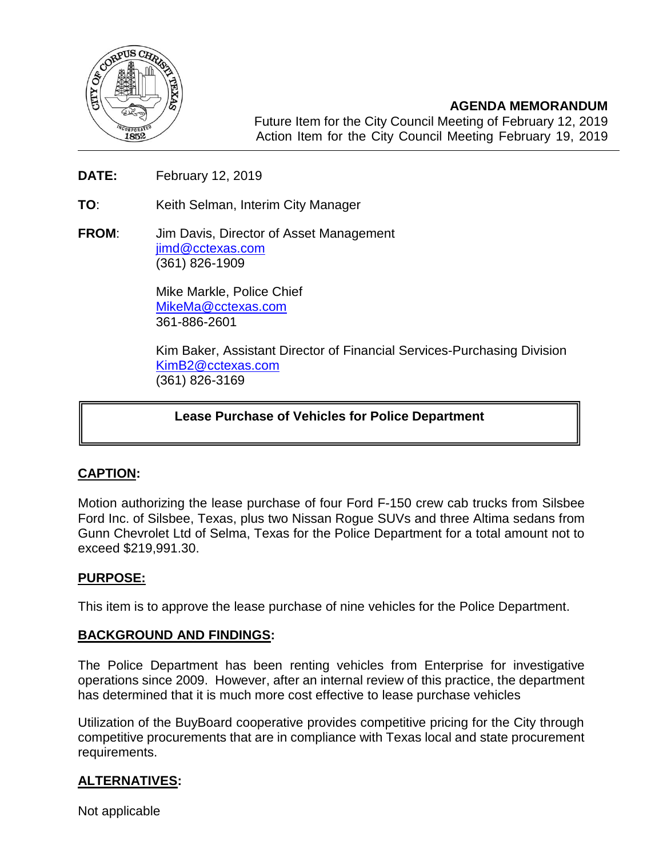

**AGENDA MEMORANDUM** Future Item for the City Council Meeting of February 12, 2019 Action Item for the City Council Meeting February 19, 2019

- **DATE:** February 12, 2019
- **TO**: Keith Selman, Interim City Manager

2018

**FROM**: Jim Davis, Director of Asset Management [jimd@cctexas.com](mailto:jimd@cctexas.com) (361) 826-1909

> Mike Markle, Police Chief [MikeMa@cctexas.com](mailto:MikeMa@cctexas.com) 361-886-2601

Kim Baker, Assistant Director of Financial Services-Purchasing Division [KimB2@cctexas.com](mailto:KimB2@cctexas.com) (361) 826-3169

# **Lease Purchase of Vehicles for Police Department**

## **CAPTION:**

Ι

Motion authorizing the lease purchase of four Ford F-150 crew cab trucks from Silsbee Ford Inc. of Silsbee, Texas, plus two Nissan Rogue SUVs and three Altima sedans from Gunn Chevrolet Ltd of Selma, Texas for the Police Department for a total amount not to exceed \$219,991.30.

## **PURPOSE:**

This item is to approve the lease purchase of nine vehicles for the Police Department.

## **BACKGROUND AND FINDINGS:**

The Police Department has been renting vehicles from Enterprise for investigative operations since 2009. However, after an internal review of this practice, the department has determined that it is much more cost effective to lease purchase vehicles

Utilization of the BuyBoard cooperative provides competitive pricing for the City through competitive procurements that are in compliance with Texas local and state procurement requirements.

## **ALTERNATIVES:**

Not applicable